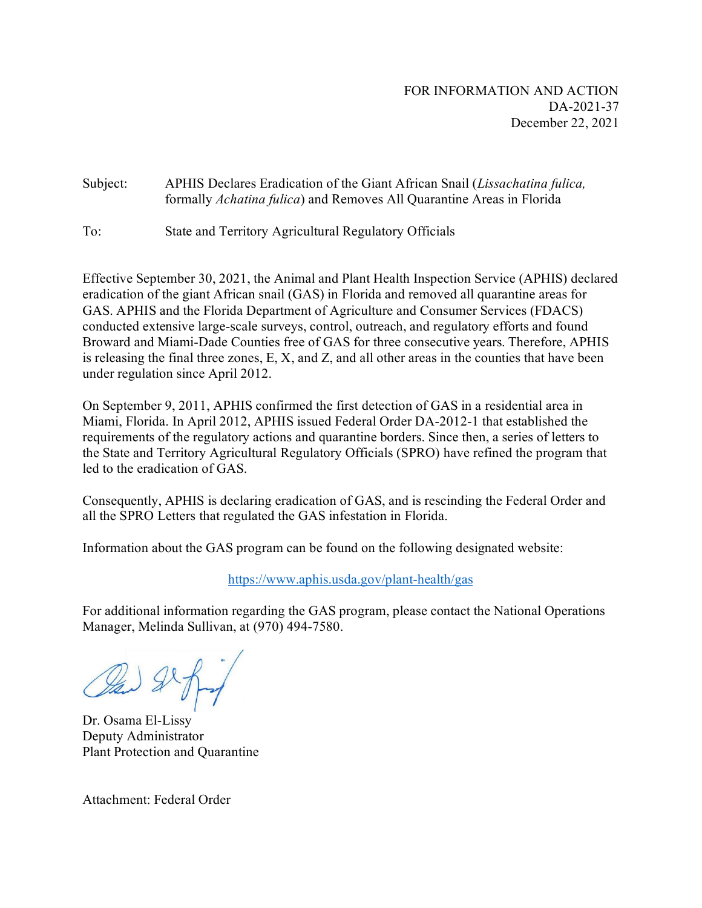## Subject: APHIS Declares Eradication of the Giant African Snail (*Lissachatina fulica,* formally *Achatina fulica*) and Removes All Quarantine Areas in Florida

To: State and Territory Agricultural Regulatory Officials

Effective September 30, 2021, the Animal and Plant Health Inspection Service (APHIS) declared eradication of the giant African snail (GAS) in Florida and removed all quarantine areas for GAS. APHIS and the Florida Department of Agriculture and Consumer Services (FDACS) conducted extensive large-scale surveys, control, outreach, and regulatory efforts and found Broward and Miami-Dade Counties free of GAS for three consecutive years. Therefore, APHIS is releasing the final three zones, E, X, and Z, and all other areas in the counties that have been under regulation since April 2012.

On September 9, 2011, APHIS confirmed the first detection of GAS in a residential area in Miami, Florida. In April 2012, APHIS issued Federal Order DA-2012-1 that established the requirements of the regulatory actions and quarantine borders. Since then, a series of letters to the State and Territory Agricultural Regulatory Officials (SPRO) have refined the program that led to the eradication of GAS.

Consequently, APHIS is declaring eradication of GAS, and is rescinding the Federal Order and all the SPRO Letters that regulated the GAS infestation in Florida.

Information about the GAS program can be found on the following designated website:

<https://www.aphis.usda.gov/plant-health/gas>

For additional information regarding the GAS program, please contact the National Operations Manager, Melinda Sullivan, at (970) 494-7580.

Dr. Osama El-Lissy Deputy Administrator Plant Protection and Quarantine

Attachment: Federal Order